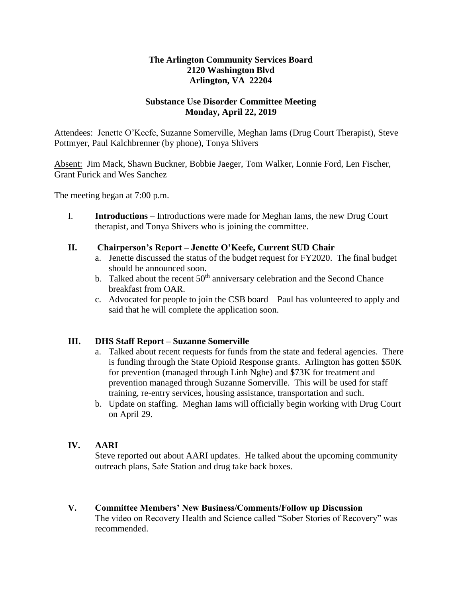## **The Arlington Community Services Board 2120 Washington Blvd Arlington, VA 22204**

## **Substance Use Disorder Committee Meeting Monday, April 22, 2019**

Attendees: Jenette O'Keefe, Suzanne Somerville, Meghan Iams (Drug Court Therapist), Steve Pottmyer, Paul Kalchbrenner (by phone), Tonya Shivers

Absent: Jim Mack, Shawn Buckner, Bobbie Jaeger, Tom Walker, Lonnie Ford, Len Fischer, Grant Furick and Wes Sanchez

The meeting began at 7:00 p.m.

I. **Introductions** – Introductions were made for Meghan Iams, the new Drug Court therapist, and Tonya Shivers who is joining the committee.

#### **II. Chairperson's Report – Jenette O'Keefe, Current SUD Chair**

- a. Jenette discussed the status of the budget request for FY2020. The final budget should be announced soon.
- b. Talked about the recent  $50<sup>th</sup>$  anniversary celebration and the Second Chance breakfast from OAR.
- c. Advocated for people to join the CSB board Paul has volunteered to apply and said that he will complete the application soon.

## **III. DHS Staff Report – Suzanne Somerville**

- a. Talked about recent requests for funds from the state and federal agencies. There is funding through the State Opioid Response grants. Arlington has gotten \$50K for prevention (managed through Linh Nghe) and \$73K for treatment and prevention managed through Suzanne Somerville. This will be used for staff training, re-entry services, housing assistance, transportation and such.
- b. Update on staffing. Meghan Iams will officially begin working with Drug Court on April 29.

# **IV. AARI**

Steve reported out about AARI updates. He talked about the upcoming community outreach plans, Safe Station and drug take back boxes.

**V. Committee Members' New Business/Comments/Follow up Discussion** The video on Recovery Health and Science called "Sober Stories of Recovery" was recommended.